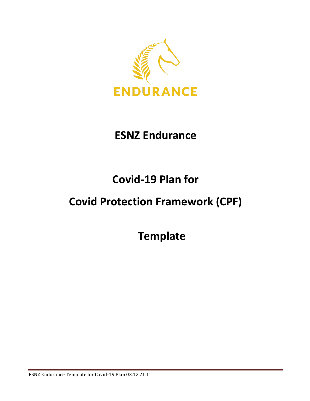

## **ESNZ Endurance**

## **Covid-19 Plan for**

## **Covid Protection Framework (CPF)**

**Template**

ESNZ Endurance Template for Covid-19 Plan 03.12.21 1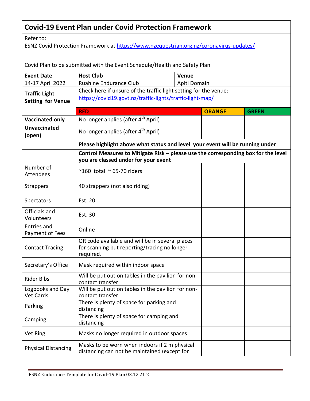## **Covid-19 Event Plan under Covid Protection Framework**

Refer to:

ESNZ Covid Protection Framework at<https://www.nzequestrian.org.nz/coronavirus-updates/>

Covid Plan to be submitted with the Event Schedule/Health and Safety Plan

| <b>Event Date</b>              | <b>Host Club</b>                                                                                                              | Venue         |              |
|--------------------------------|-------------------------------------------------------------------------------------------------------------------------------|---------------|--------------|
| 14-17 April 2022               | Ruahine Endurance Club<br>Apiti Domain                                                                                        |               |              |
| <b>Traffic Light</b>           | Check here if unsure of the traffic light setting for the venue:<br>https://covid19.govt.nz/traffic-lights/traffic-light-map/ |               |              |
| <b>Setting for Venue</b>       |                                                                                                                               |               |              |
|                                | <b>RED</b>                                                                                                                    | <b>ORANGE</b> | <b>GREEN</b> |
| <b>Vaccinated only</b>         | No longer applies (after 4 <sup>th</sup> April)                                                                               |               |              |
| <b>Unvaccinated</b><br>(open)  | No longer applies (after 4 <sup>th</sup> April)                                                                               |               |              |
|                                | Please highlight above what status and level your event will be running under                                                 |               |              |
|                                | Control Measures to Mitigate Risk - please use the corresponding box for the level<br>you are classed under for your event    |               |              |
| Number of<br><b>Attendees</b>  | $^{\sim}160$ total $^{\sim}65$ -70 riders                                                                                     |               |              |
| <b>Strappers</b>               | 40 strappers (not also riding)                                                                                                |               |              |
| Spectators                     | Est. 20                                                                                                                       |               |              |
| Officials and<br>Volunteers    | Est. 30                                                                                                                       |               |              |
| Entries and<br>Payment of Fees | Online                                                                                                                        |               |              |
| <b>Contact Tracing</b>         | QR code available and will be in several places<br>for scanning but reporting/tracing no longer<br>required.                  |               |              |
| Secretary's Office             | Mask required within indoor space                                                                                             |               |              |
| <b>Rider Bibs</b>              | Will be put out on tables in the pavilion for non-<br>contact transfer                                                        |               |              |
| Logbooks and Day<br>Vet Cards  | Will be put out on tables in the pavilion for non-<br>contact transfer                                                        |               |              |
| Parking                        | There is plenty of space for parking and<br>distancing                                                                        |               |              |
| Camping                        | There is plenty of space for camping and<br>distancing                                                                        |               |              |
| Vet Ring                       | Masks no longer required in outdoor spaces                                                                                    |               |              |
| <b>Physical Distancing</b>     | Masks to be worn when indoors if 2 m physical<br>distancing can not be maintained (except for                                 |               |              |